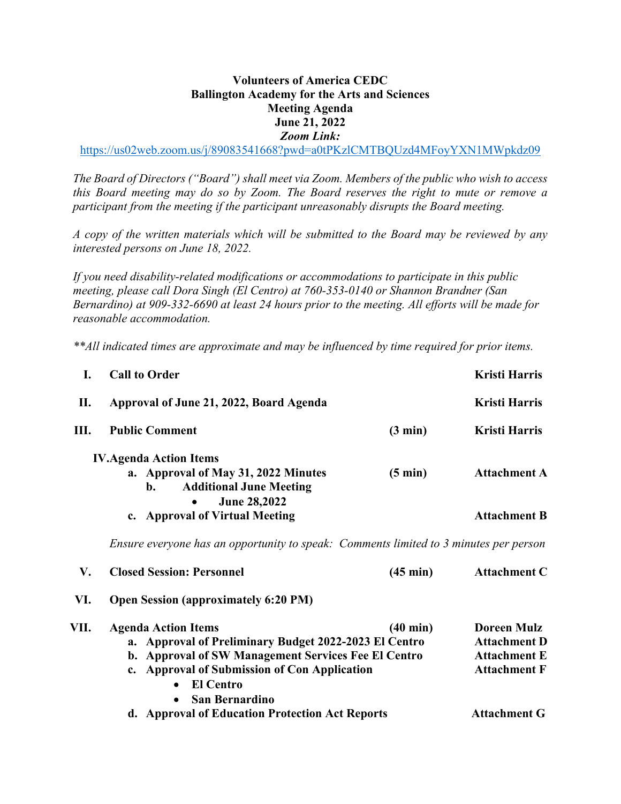## **Volunteers of America CEDC Ballington Academy for the Arts and Sciences Meeting Agenda June 21, 2022** *Zoom Link:*

https://us02web.zoom.us/j/89083541668?pwd=a0tPKzlCMTBQUzd4MFoyYXN1MWpkdz09

*The Board of Directors ("Board") shall meet via Zoom. Members of the public who wish to access this Board meeting may do so by Zoom. The Board reserves the right to mute or remove a participant from the meeting if the participant unreasonably disrupts the Board meeting.*

*A copy of the written materials which will be submitted to the Board may be reviewed by any interested persons on June 18, 2022.*

*If you need disability-related modifications or accommodations to participate in this public meeting, please call Dora Singh (El Centro) at 760-353-0140 or Shannon Brandner (San Bernardino) at 909-332-6690 at least 24 hours prior to the meeting. All efforts will be made for reasonable accommodation.* 

*\*\*All indicated times are approximate and may be influenced by time required for prior items.* 

| L.   | <b>Call to Order</b>                                                                                                                                                              |                    | <b>Kristi Harris</b>                       |  |  |
|------|-----------------------------------------------------------------------------------------------------------------------------------------------------------------------------------|--------------------|--------------------------------------------|--|--|
| П.   | Approval of June 21, 2022, Board Agenda                                                                                                                                           |                    | <b>Kristi Harris</b>                       |  |  |
| Ш.   | <b>Public Comment</b>                                                                                                                                                             | $(3 \text{ min})$  | <b>Kristi Harris</b>                       |  |  |
|      | <b>IV.Agenda Action Items</b><br>a. Approval of May 31, 2022 Minutes<br><b>Additional June Meeting</b><br>$\mathbf{b}$ .<br><b>June 28,2022</b><br>c. Approval of Virtual Meeting | $(5 \text{ min})$  | <b>Attachment A</b><br><b>Attachment B</b> |  |  |
|      | Ensure everyone has an opportunity to speak: Comments limited to 3 minutes per person                                                                                             |                    |                                            |  |  |
| V.   | <b>Closed Session: Personnel</b>                                                                                                                                                  | $(45 \text{ min})$ | <b>Attachment C</b>                        |  |  |
| VI.  | <b>Open Session (approximately 6:20 PM)</b>                                                                                                                                       |                    |                                            |  |  |
| VII. | <b>Agenda Action Items</b><br>a. Approval of Preliminary Budget 2022-2023 El Centro                                                                                               | $(40 \text{ min})$ | <b>Doreen Mulz</b><br><b>Attachment D</b>  |  |  |

| <b>Attachment D</b> |
|---------------------|
| <b>Attachment E</b> |
| <b>Attachment F</b> |
|                     |

**d. Approval of Education Protection Act Reports Attachment G**

• **San Bernardino**